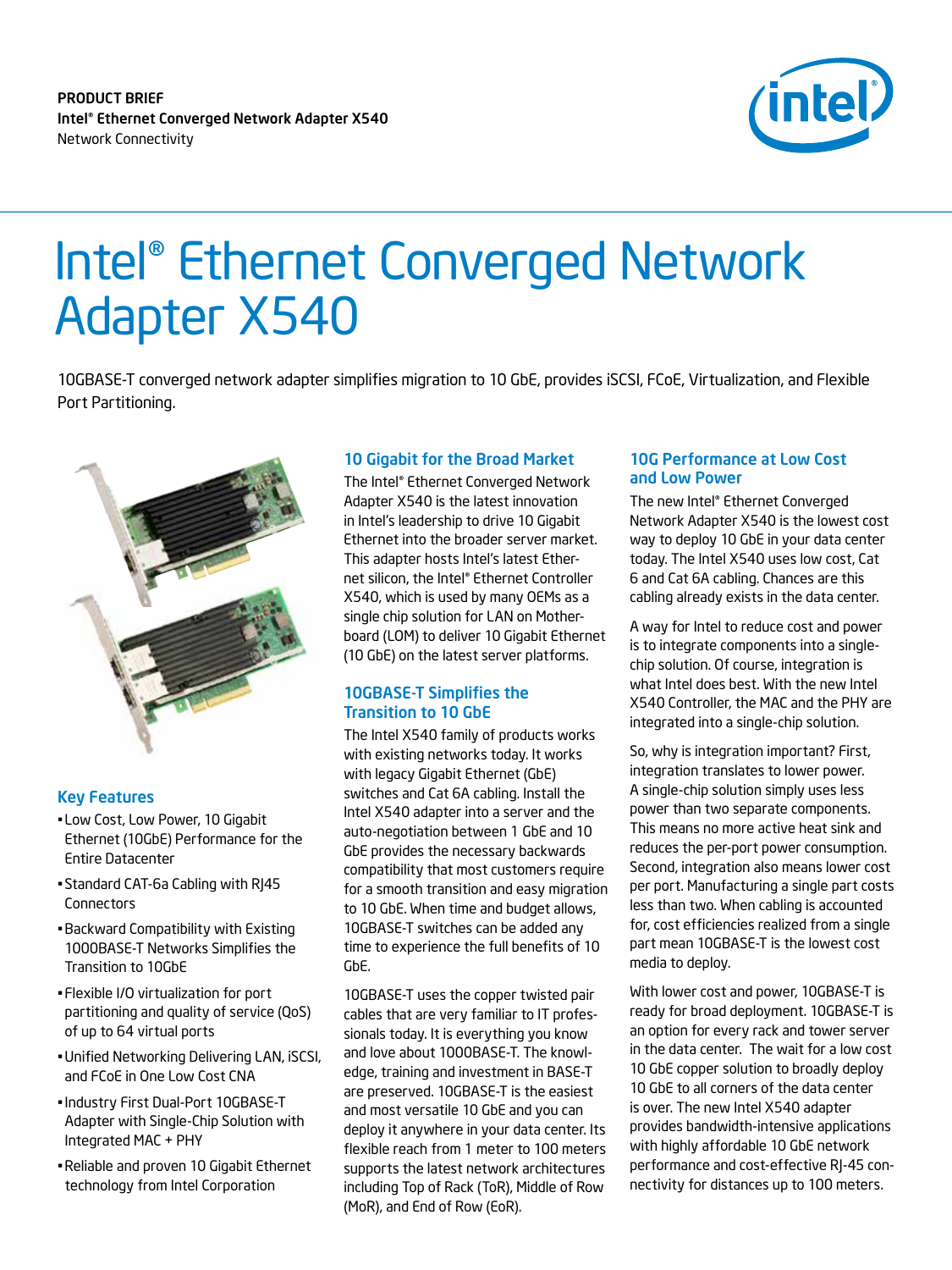product brief Intel® Ethernet Converged Network Adapter X540 Network Connectivity



# Intel® Ethernet Converged Network Adapter X540

10GBASE-T converged network adapter simplifies migration to 10 GbE, provides iSCSI, FCoE, Virtualization, and Flexible Port Partitioning.



## Key Features

- Low Cost, Low Power, 10 Gigabit Ethernet (10GbE) Performance for the Entire Datacenter
- Standard CAT-6a Cabling with RJ45 **Connectors**
- •Backward Compatibility with Existing 1000BASE-T Networks Simplifies the Transition to 10GbE
- Flexible I/O virtualization for port partitioning and quality of service (QoS) of up to 64 virtual ports
- •Unified Networking Delivering LAN, iSCSI, and FCoE in One Low Cost CNA
- •Industry First Dual-Port 10GBASE-T Adapter with Single-Chip Solution with Integrated MAC + PHY
- •Reliable and proven 10 Gigabit Ethernet technology from Intel Corporation

## 10 Gigabit for the Broad Market

The Intel® Ethernet Converged Network Adapter X540 is the latest innovation in Intel's leadership to drive 10 Gigabit Ethernet into the broader server market. This adapter hosts Intel's latest Ethernet silicon, the Intel® Ethernet Controller X540, which is used by many OEMs as a single chip solution for LAN on Motherboard (LOM) to deliver 10 Gigabit Ethernet (10 GbE) on the latest server platforms.

## 10GBASE-T Simplifies the Transition to 10 GbE

The Intel X540 family of products works with existing networks today. It works with legacy Gigabit Ethernet (GbE) switches and Cat 6A cabling. Install the Intel X540 adapter into a server and the auto-negotiation between 1 GbE and 10 GbE provides the necessary backwards compatibility that most customers require for a smooth transition and easy migration to 10 GbE. When time and budget allows, 10GBASE-T switches can be added any time to experience the full benefits of 10 GbE.

10GBASE-T uses the copper twisted pair cables that are very familiar to IT professionals today. It is everything you know and love about 1000BASE-T. The knowledge, training and investment in BASE-T are preserved. 10GBASE-T is the easiest and most versatile 10 GbE and you can deploy it anywhere in your data center. Its flexible reach from 1 meter to 100 meters supports the latest network architectures including Top of Rack (ToR), Middle of Row (MoR), and End of Row (EoR).

## 10G Performance at Low Cost and Low Power

The new Intel® Ethernet Converged Network Adapter X540 is the lowest cost way to deploy 10 GbE in your data center today. The Intel X540 uses low cost, Cat 6 and Cat 6A cabling. Chances are this cabling already exists in the data center.

A way for Intel to reduce cost and power is to integrate components into a singlechip solution. Of course, integration is what Intel does best. With the new Intel X540 Controller, the MAC and the PHY are integrated into a single-chip solution.

So, why is integration important? First, integration translates to lower power. A single-chip solution simply uses less power than two separate components. This means no more active heat sink and reduces the per-port power consumption. Second, integration also means lower cost per port. Manufacturing a single part costs less than two. When cabling is accounted for, cost efficiencies realized from a single part mean 10GBASE-T is the lowest cost media to deploy.

With lower cost and power, 10GBASE-T is ready for broad deployment. 10GBASE-T is an option for every rack and tower server in the data center. The wait for a low cost 10 GbE copper solution to broadly deploy 10 GbE to all corners of the data center is over. The new Intel X540 adapter provides bandwidth-intensive applications with highly affordable 10 GbE network performance and cost-effective RJ-45 connectivity for distances up to 100 meters.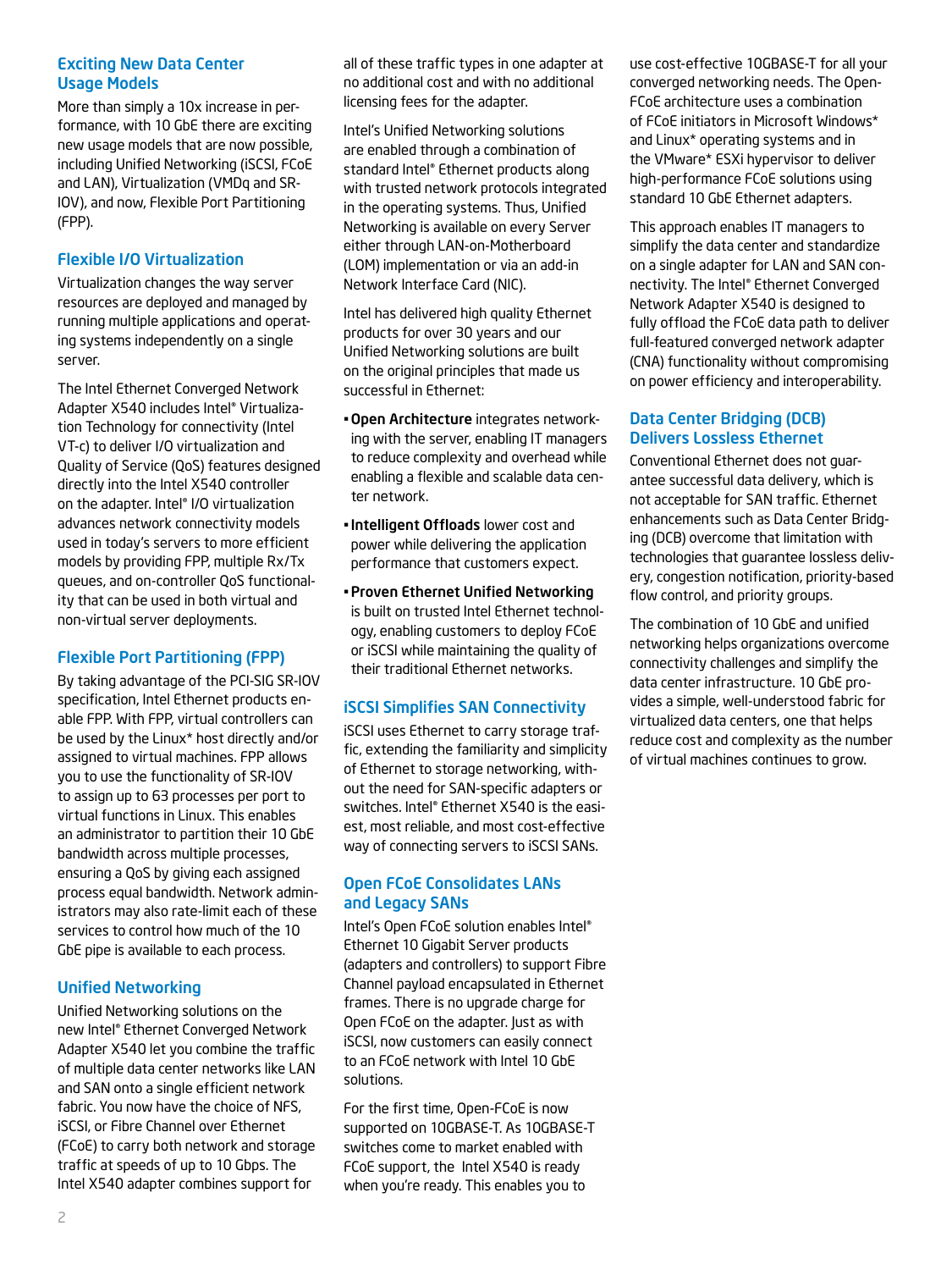## Exciting New Data Center Usage Models

More than simply a 10x increase in performance, with 10 GbE there are exciting new usage models that are now possible, including Unified Networking (iSCSI, FCoE and LAN), Virtualization (VMDq and SR-IOV), and now, Flexible Port Partitioning (FPP).

# Flexible I/O Virtualization

Virtualization changes the way server resources are deployed and managed by running multiple applications and operating systems independently on a single server.

The Intel Ethernet Converged Network Adapter X540 includes Intel® Virtualization Technology for connectivity (Intel VT-c) to deliver I/O virtualization and Quality of Service (QoS) features designed directly into the Intel X540 controller on the adapter. Intel® I/O virtualization advances network connectivity models used in today's servers to more efficient models by providing FPP, multiple Rx/Tx queues, and on-controller QoS functionality that can be used in both virtual and non-virtual server deployments.

# Flexible Port Partitioning (FPP)

By taking advantage of the PCI-SIG SR-IOV specification, Intel Ethernet products enable FPP. With FPP, virtual controllers can be used by the Linux\* host directly and/or assigned to virtual machines. FPP allows you to use the functionality of SR-IOV to assign up to 63 processes per port to virtual functions in Linux. This enables an administrator to partition their 10 GbE bandwidth across multiple processes, ensuring a QoS by giving each assigned process equal bandwidth. Network administrators may also rate-limit each of these services to control how much of the 10 GbE pipe is available to each process.

# Unified Networking

Unified Networking solutions on the new Intel® Ethernet Converged Network Adapter X540 let you combine the traffic of multiple data center networks like LAN and SAN onto a single efficient network fabric. You now have the choice of NFS, iSCSI, or Fibre Channel over Ethernet (FCoE) to carry both network and storage traffic at speeds of up to 10 Gbps. The Intel X540 adapter combines support for

all of these traffic types in one adapter at no additional cost and with no additional licensing fees for the adapter.

Intel's Unified Networking solutions are enabled through a combination of standard Intel® Ethernet products along with trusted network protocols integrated in the operating systems. Thus, Unified Networking is available on every Server either through LAN-on-Motherboard (LOM) implementation or via an add-in Network Interface Card (NIC).

Intel has delivered high quality Ethernet products for over 30 years and our Unified Networking solutions are built on the original principles that made us successful in Ethernet:

- •Open Architecture integrates networking with the server, enabling IT managers to reduce complexity and overhead while enabling a flexible and scalable data center network.
- •Intelligent Offloads lower cost and power while delivering the application performance that customers expect.
- •Proven Ethernet Unified Networking is built on trusted Intel Ethernet technology, enabling customers to deploy FCoE or iSCSI while maintaining the quality of their traditional Ethernet networks.

# iSCSI Simplifies SAN Connectivity

iSCSI uses Ethernet to carry storage traffic, extending the familiarity and simplicity of Ethernet to storage networking, without the need for SAN-specific adapters or switches. Intel® Ethernet X540 is the easiest, most reliable, and most cost-effective way of connecting servers to iSCSI SANs.

# Open FCoE Consolidates LANs and Legacy SANs

Intel's Open FCoE solution enables Intel® Ethernet 10 Gigabit Server products (adapters and controllers) to support Fibre Channel payload encapsulated in Ethernet frames. There is no upgrade charge for Open FCoE on the adapter. Just as with iSCSI, now customers can easily connect to an FCoE network with Intel 10 GbE solutions.

For the first time, Open-FCoE is now supported on 10GBASE-T. As 10GBASE-T switches come to market enabled with FCoE support, the Intel X540 is ready when you're ready. This enables you to

use cost-effective 10GBASE-T for all your converged networking needs. The Open-FCoE architecture uses a combination of FCoE initiators in Microsoft Windows\* and Linux\* operating systems and in the VMware\* ESXi hypervisor to deliver high-performance FCoE solutions using standard 10 GbE Ethernet adapters.

This approach enables IT managers to simplify the data center and standardize on a single adapter for LAN and SAN connectivity. The Intel® Ethernet Converged Network Adapter X540 is designed to fully offload the FCoE data path to deliver full-featured converged network adapter (CNA) functionality without compromising on power efficiency and interoperability.

# Data Center Bridging (DCB) Delivers Lossless Ethernet

Conventional Ethernet does not guarantee successful data delivery, which is not acceptable for SAN traffic. Ethernet enhancements such as Data Center Bridging (DCB) overcome that limitation with technologies that guarantee lossless delivery, congestion notification, priority-based flow control, and priority groups.

The combination of 10 GbE and unified networking helps organizations overcome connectivity challenges and simplify the data center infrastructure. 10 GbE provides a simple, well-understood fabric for virtualized data centers, one that helps reduce cost and complexity as the number of virtual machines continues to grow.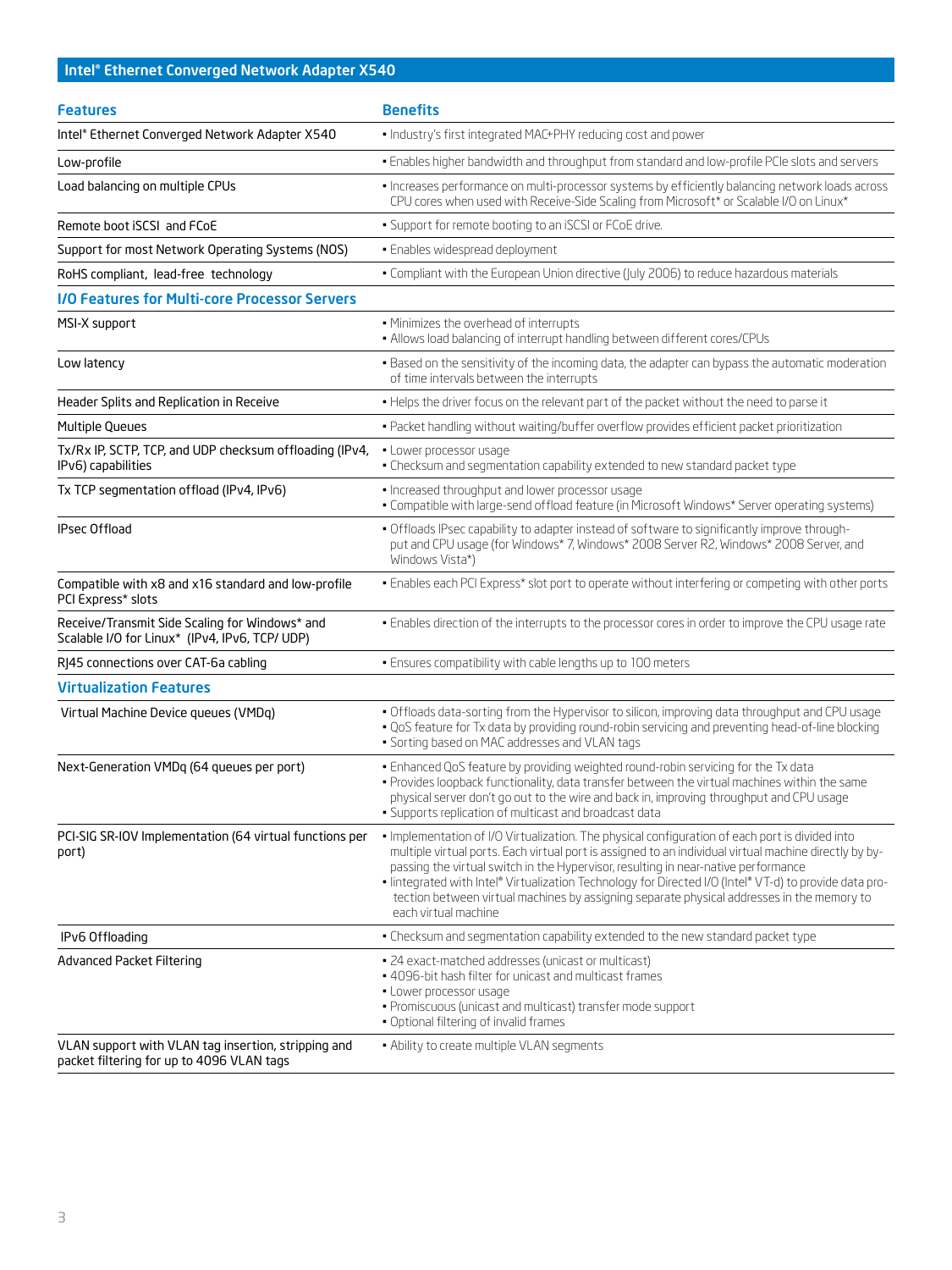# Intel® Ethernet Converged Network Adapter X540

| <b>Features</b>                                                                                  | <b>Benefits</b>                                                                                                                                                                                                                                                                                                                                                                                                                                                                                                                  |
|--------------------------------------------------------------------------------------------------|----------------------------------------------------------------------------------------------------------------------------------------------------------------------------------------------------------------------------------------------------------------------------------------------------------------------------------------------------------------------------------------------------------------------------------------------------------------------------------------------------------------------------------|
| Intel® Ethernet Converged Network Adapter X540                                                   | · Industry's first integrated MAC+PHY reducing cost and power                                                                                                                                                                                                                                                                                                                                                                                                                                                                    |
| Low-profile                                                                                      | . Enables higher bandwidth and throughput from standard and low-profile PCIe slots and servers                                                                                                                                                                                                                                                                                                                                                                                                                                   |
| Load balancing on multiple CPUs                                                                  | . Increases performance on multi-processor systems by efficiently balancing network loads across<br>CPU cores when used with Receive-Side Scaling from Microsoft* or Scalable I/O on Linux*                                                                                                                                                                                                                                                                                                                                      |
| Remote boot iSCSI and FCoE                                                                       | • Support for remote booting to an iSCSI or FCoE drive.                                                                                                                                                                                                                                                                                                                                                                                                                                                                          |
| Support for most Network Operating Systems (NOS)                                                 | · Enables widespread deployment                                                                                                                                                                                                                                                                                                                                                                                                                                                                                                  |
| RoHS compliant, lead-free technology                                                             | . Compliant with the European Union directive (July 2006) to reduce hazardous materials                                                                                                                                                                                                                                                                                                                                                                                                                                          |
| <b>I/O Features for Multi-core Processor Servers</b>                                             |                                                                                                                                                                                                                                                                                                                                                                                                                                                                                                                                  |
| MSI-X support                                                                                    | . Minimizes the overhead of interrupts<br>. Allows load balancing of interrupt handling between different cores/CPUs                                                                                                                                                                                                                                                                                                                                                                                                             |
| Low latency                                                                                      | . Based on the sensitivity of the incoming data, the adapter can bypass the automatic moderation<br>of time intervals between the interrupts                                                                                                                                                                                                                                                                                                                                                                                     |
| Header Splits and Replication in Receive                                                         | . Helps the driver focus on the relevant part of the packet without the need to parse it                                                                                                                                                                                                                                                                                                                                                                                                                                         |
| <b>Multiple Queues</b>                                                                           | . Packet handling without waiting/buffer overflow provides efficient packet prioritization                                                                                                                                                                                                                                                                                                                                                                                                                                       |
| Tx/Rx IP, SCTP, TCP, and UDP checksum offloading (IPv4,<br>IPv6) capabilities                    | · Lower processor usage<br>. Checksum and segmentation capability extended to new standard packet type                                                                                                                                                                                                                                                                                                                                                                                                                           |
| Tx TCP segmentation offload (IPv4, IPv6)                                                         | · Increased throughput and lower processor usage<br>. Compatible with large-send offload feature (in Microsoft Windows* Server operating systems)                                                                                                                                                                                                                                                                                                                                                                                |
| <b>IPsec Offload</b>                                                                             | . Offloads IPsec capability to adapter instead of software to significantly improve through-<br>put and CPU usage (for Windows* 7, Windows* 2008 Server R2, Windows* 2008 Server, and<br>Windows Vista*)                                                                                                                                                                                                                                                                                                                         |
| Compatible with x8 and x16 standard and low-profile<br>PCI Express* slots                        | . Enables each PCI Express* slot port to operate without interfering or competing with other ports                                                                                                                                                                                                                                                                                                                                                                                                                               |
| Receive/Transmit Side Scaling for Windows* and<br>Scalable I/O for Linux* (IPv4, IPv6, TCP/ UDP) | . Enables direction of the interrupts to the processor cores in order to improve the CPU usage rate                                                                                                                                                                                                                                                                                                                                                                                                                              |
| RJ45 connections over CAT-6a cabling                                                             | · Ensures compatibility with cable lengths up to 100 meters                                                                                                                                                                                                                                                                                                                                                                                                                                                                      |
| <b>Virtualization Features</b>                                                                   |                                                                                                                                                                                                                                                                                                                                                                                                                                                                                                                                  |
| Virtual Machine Device queues (VMDq)                                                             | . Offloads data-sorting from the Hypervisor to silicon, improving data throughput and CPU usage<br>. QoS feature for Tx data by providing round-robin servicing and preventing head-of-line blocking<br>· Sorting based on MAC addresses and VLAN tags                                                                                                                                                                                                                                                                           |
| Next-Generation VMDq (64 queues per port)                                                        | . Enhanced QoS feature by providing weighted round-robin servicing for the Tx data<br>. Provides loopback functionality, data transfer between the virtual machines within the same<br>physical server don't go out to the wire and back in, improving throughput and CPU usage<br>· Supports replication of multicast and broadcast data                                                                                                                                                                                        |
| PCI-SIG SR-IOV Implementation (64 virtual functions per<br>port)                                 | . Implementation of I/O Virtualization. The physical configuration of each port is divided into<br>multiple virtual ports. Each virtual port is assigned to an individual virtual machine directly by by-<br>passing the virtual switch in the Hypervisor, resulting in near-native performance<br>- lintegrated with Intel® Virtualization Technology for Directed I/O (Intel® VT-d) to provide data pro-<br>tection between virtual machines by assigning separate physical addresses in the memory to<br>each virtual machine |
| IPv6 Offloading                                                                                  | . Checksum and segmentation capability extended to the new standard packet type                                                                                                                                                                                                                                                                                                                                                                                                                                                  |
| Advanced Packet Filtering                                                                        | • 24 exact-matched addresses (unicast or multicast)<br>. 4096-bit hash filter for unicast and multicast frames<br>· Lower processor usage<br>· Promiscuous (unicast and multicast) transfer mode support<br>. Optional filtering of invalid frames                                                                                                                                                                                                                                                                               |
| VLAN support with VLAN tag insertion, stripping and<br>packet filtering for up to 4096 VLAN tags | • Ability to create multiple VLAN segments                                                                                                                                                                                                                                                                                                                                                                                                                                                                                       |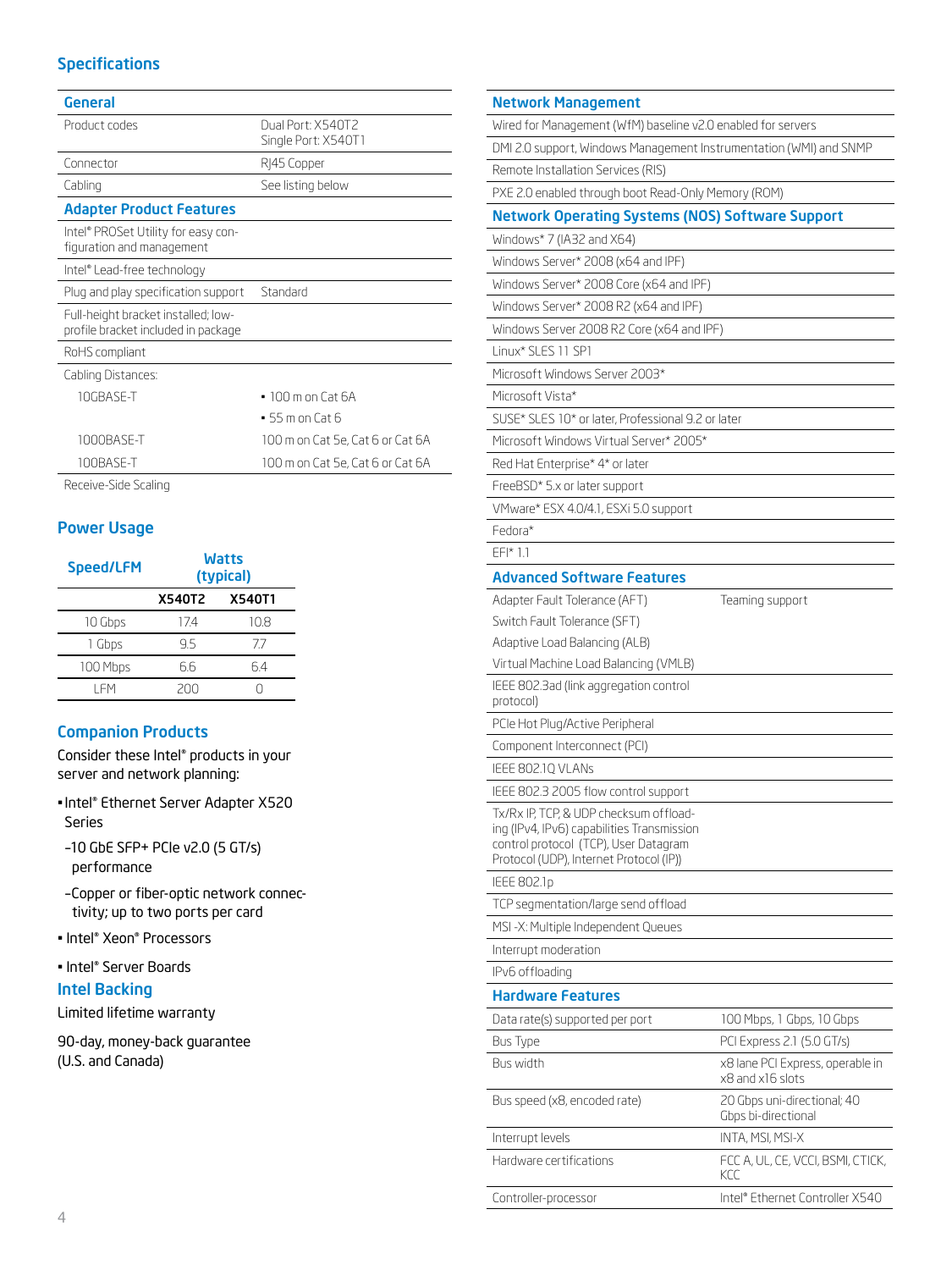# Specifications

| Dual Port: X540T2<br>Single Port: X540T1 |
|------------------------------------------|
| R 45 Copper                              |
| See listing below                        |
|                                          |
|                                          |
|                                          |
| Standard                                 |
|                                          |
|                                          |
|                                          |
| $\cdot$ 100 m on Cat 6A                  |
| $-55$ m on Cat 6                         |
| 100 m on Cat 5e, Cat 6 or Cat 6A         |
| 100 m on Cat 5e, Cat 6 or Cat 6A         |
|                                          |

Receive-Side Scaling

# Power Usage

| <b>Speed/LFM</b> | <b>Watts</b><br>(typical) |               |
|------------------|---------------------------|---------------|
|                  | X540T2                    | <b>X540T1</b> |
| 10 Gbps          | 17.4                      | 10.8          |
| 1 Gbps           | 9.5                       | 77            |
| 100 Mbps         | 66                        | 64            |
| I FM             | 200                       |               |

# Companion Products

Consider these Intel® products in your server and network planning:

- •Intel® Ethernet Server Adapter X520 Series
- –10 GbE SFP+ PCIe v2.0 (5 GT/s) performance
- –Copper or fiber-optic network connectivity; up to two ports per card
- Intel® Xeon® Processors
- Intel® Server Boards

### Intel Backing

Limited lifetime warranty

90-day, money-back guarantee (U.S. and Canada)

| <b>Network Management</b>                                                                                                      |                                                      |  |  |
|--------------------------------------------------------------------------------------------------------------------------------|------------------------------------------------------|--|--|
| Wired for Management (WfM) baseline v2.0 enabled for servers                                                                   |                                                      |  |  |
| DMI 2.0 support, Windows Management Instrumentation (WMI) and SNMP                                                             |                                                      |  |  |
| Remote Installation Services (RIS)                                                                                             |                                                      |  |  |
| PXE 2.0 enabled through boot Read-Only Memory (ROM)                                                                            |                                                      |  |  |
| <b>Network Operating Systems (NOS) Software Support</b>                                                                        |                                                      |  |  |
| Windows* 7 (IA32 and X64)                                                                                                      |                                                      |  |  |
| Windows Server* 2008 (x64 and IPF)                                                                                             |                                                      |  |  |
| Windows Server* 2008 Core (x64 and IPF)                                                                                        |                                                      |  |  |
| Windows Server* 2008 R2 (x64 and IPF)                                                                                          |                                                      |  |  |
| Windows Server 2008 R2 Core (x64 and IPF)                                                                                      |                                                      |  |  |
| Linux* SLES 11 SP1                                                                                                             |                                                      |  |  |
| Microsoft Windows Server 2003*                                                                                                 |                                                      |  |  |
| Microsoft Vista*                                                                                                               |                                                      |  |  |
| SUSE* SLES 10* or later, Professional 9.2 or later                                                                             |                                                      |  |  |
| Microsoft Windows Virtual Server* 2005*                                                                                        |                                                      |  |  |
| Red Hat Enterprise* 4* or later                                                                                                |                                                      |  |  |
| FreeBSD* 5.x or later support                                                                                                  |                                                      |  |  |
| VMware* ESX 4.0/4.1, ESXi 5.0 support                                                                                          |                                                      |  |  |
| Fedora*                                                                                                                        |                                                      |  |  |
| $EF$ $\uparrow$ 1.1                                                                                                            |                                                      |  |  |
| <b>Advanced Software Features</b>                                                                                              |                                                      |  |  |
| Adapter Fault Tolerance (AFT)                                                                                                  | Teaming support                                      |  |  |
| Switch Fault Tolerance (SFT)                                                                                                   |                                                      |  |  |
| Adaptive Load Balancing (ALB)                                                                                                  |                                                      |  |  |
| Virtual Machine Load Balancing (VMLB)                                                                                          |                                                      |  |  |
| IEEE 802.3ad (link aggregation control<br>protocol)                                                                            |                                                      |  |  |
| PCIe Hot Plug/Active Peripheral                                                                                                |                                                      |  |  |
| Component Interconnect (PCI)                                                                                                   |                                                      |  |  |
| IEEE 802.1Q VLANS                                                                                                              |                                                      |  |  |
| IEEE 802.3 2005 flow control support                                                                                           |                                                      |  |  |
| Tx/Rx IP, TCP, & UDP checksum offload-                                                                                         |                                                      |  |  |
| ing (IPv4, IPv6) capabilities Transmission<br>control protocol (TCP), User Datagram<br>Protocol (UDP), Internet Protocol (IP)) |                                                      |  |  |
| <b>IEEE 802.1p</b>                                                                                                             |                                                      |  |  |
| TCP segmentation/large send offload                                                                                            |                                                      |  |  |
| MSI-X: Multiple Independent Queues                                                                                             |                                                      |  |  |
| Interrupt moderation                                                                                                           |                                                      |  |  |
| IPv6 offloading                                                                                                                |                                                      |  |  |
| <b>Hardware Features</b>                                                                                                       |                                                      |  |  |
| Data rate(s) supported per port                                                                                                | 100 Mbps, 1 Gbps, 10 Gbps                            |  |  |
| Bus Type                                                                                                                       | PCI Express 2.1 (5.0 GT/s)                           |  |  |
| Bus width                                                                                                                      | x8 Iane PCI Express, operable in<br>x8 and x16 slots |  |  |
| Bus speed (x8, encoded rate)                                                                                                   | 20 Gbps uni-directional; 40<br>Gbps bi-directional   |  |  |
| Interrupt levels                                                                                                               | INTA, MSI, MSI-X                                     |  |  |
| Hardware certifications                                                                                                        | FCC A, UL, CE, VCCI, BSMI, CTICK,<br>KCC             |  |  |
| Controller-processor                                                                                                           | Intel® Ethernet Controller X540                      |  |  |